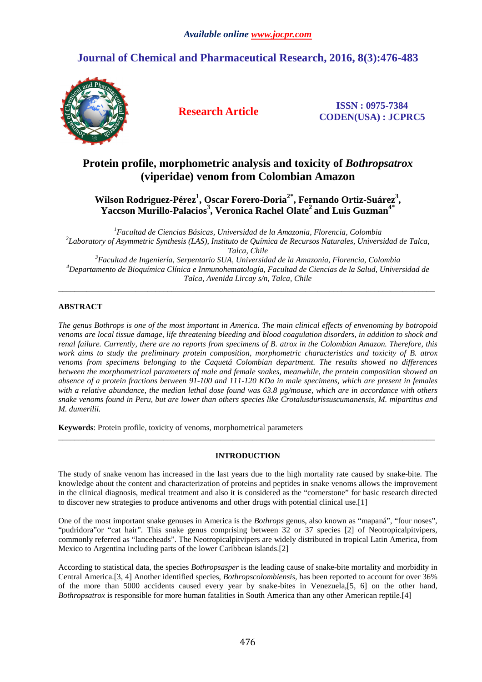# **Journal of Chemical and Pharmaceutical Research, 2016, 8(3):476-483**



**Research Article ISSN : 0975-7384 CODEN(USA) : JCPRC5**

## **Protein profile, morphometric analysis and toxicity of** *Bothropsatrox* **(viperidae) venom from Colombian Amazon**

## **Wilson Rodriguez-Pérez<sup>1</sup> , Oscar Forero-Doria2\*, Fernando Ortiz-Suárez<sup>3</sup> , Yaccson Murillo-Palacios<sup>3</sup> , Veronica Rachel Olate<sup>2</sup>and Luis Guzman4\***

*Facultad de Ciencias Básicas, Universidad de la Amazonia, Florencia, Colombia Laboratory of Asymmetric Synthesis (LAS), Instituto de Química de Recursos Naturales, Universidad de Talca, Talca, Chile Facultad de Ingeniería, Serpentario SUA, Universidad de la Amazonia, Florencia, Colombia Departamento de Bioquímica Clínica e Inmunohematología, Facultad de Ciencias de la Salud, Universidad de Talca, Avenida Lircay s/n, Talca, Chile* 

\_\_\_\_\_\_\_\_\_\_\_\_\_\_\_\_\_\_\_\_\_\_\_\_\_\_\_\_\_\_\_\_\_\_\_\_\_\_\_\_\_\_\_\_\_\_\_\_\_\_\_\_\_\_\_\_\_\_\_\_\_\_\_\_\_\_\_\_\_\_\_\_\_\_\_\_\_\_\_\_\_\_\_\_\_\_\_\_\_\_\_\_\_

## **ABSTRACT**

*The genus Bothrops is one of the most important in America. The main clinical effects of envenoming by botropoid venoms are local tissue damage, life threatening bleeding and blood coagulation disorders, in addition to shock and renal failure. Currently, there are no reports from specimens of B. atrox in the Colombian Amazon. Therefore, this work aims to study the preliminary protein composition, morphometric characteristics and toxicity of B. atrox venoms from specimens belonging to the Caquetá Colombian department. The results showed no differences between the morphometrical parameters of male and female snakes, meanwhile, the protein composition showed an absence of a protein fractions between 91-100 and 111-120 KDa in male specimens, which are present in females with a relative abundance, the median lethal dose found was 63.8 µg/mouse, which are in accordance with others snake venoms found in Peru, but are lower than others species like Crotalusdurissuscumanensis, M. mipartitus and M. dumerilii.* 

**Keywords**: Protein profile, toxicity of venoms, morphometrical parameters

## **INTRODUCTION**

\_\_\_\_\_\_\_\_\_\_\_\_\_\_\_\_\_\_\_\_\_\_\_\_\_\_\_\_\_\_\_\_\_\_\_\_\_\_\_\_\_\_\_\_\_\_\_\_\_\_\_\_\_\_\_\_\_\_\_\_\_\_\_\_\_\_\_\_\_\_\_\_\_\_\_\_\_\_\_\_\_\_\_\_\_\_\_\_\_\_\_\_\_

The study of snake venom has increased in the last years due to the high mortality rate caused by snake-bite. The knowledge about the content and characterization of proteins and peptides in snake venoms allows the improvement in the clinical diagnosis, medical treatment and also it is considered as the "cornerstone" for basic research directed to discover new strategies to produce antivenoms and other drugs with potential clinical use.[1]

One of the most important snake genuses in America is the *Bothrops* genus, also known as "mapaná", "four noses", "pudridora"or "cat hair". This snake genus comprising between 32 or 37 species [2] of Neotropicalpitvipers, commonly referred as "lanceheads". The Neotropicalpitvipers are widely distributed in tropical Latin America, from Mexico to Argentina including parts of the lower Caribbean islands.[2]

According to statistical data, the species *Bothropsasper* is the leading cause of snake-bite mortality and morbidity in Central America.[3, 4] Another identified species, *Bothropscolombiensis,* has been reported to account for over 36% of the more than 5000 accidents caused every year by snake-bites in Venezuela,[5, 6] on the other hand, *Bothropsatrox* is responsible for more human fatalities in South America than any other American reptile.[4]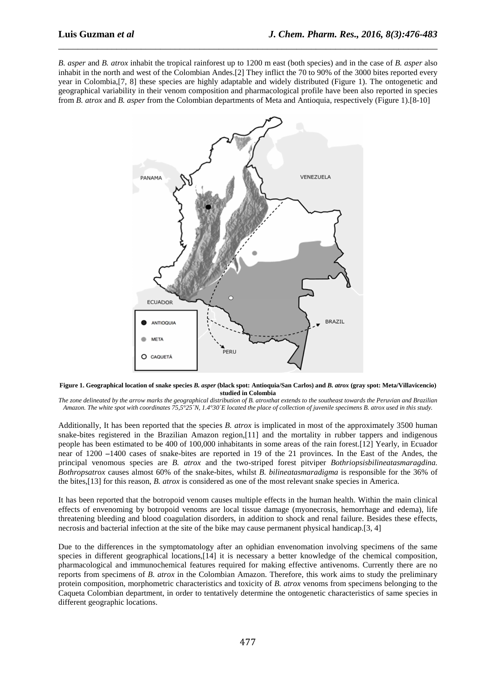*B. asper* and *B. atrox* inhabit the tropical rainforest up to 1200 m east (both species) and in the case of *B. asper* also inhabit in the north and west of the Colombian Andes.[2] They inflict the 70 to 90% of the 3000 bites reported every year in Colombia,[7, 8] these species are highly adaptable and widely distributed (Figure 1). The ontogenetic and geographical variability in their venom composition and pharmacological profile have been also reported in species from *B. atrox* and *B. asper* from the Colombian departments of Meta and Antioquia, respectively (Figure 1).[8-10]

\_\_\_\_\_\_\_\_\_\_\_\_\_\_\_\_\_\_\_\_\_\_\_\_\_\_\_\_\_\_\_\_\_\_\_\_\_\_\_\_\_\_\_\_\_\_\_\_\_\_\_\_\_\_\_\_\_\_\_\_\_\_\_\_\_\_\_\_\_\_\_\_\_\_\_\_\_\_



**Figure 1. Geographical location of snake species** *B. asper* **(black spot: Antioquia/San Carlos) and** *B. atrox* **(gray spot: Meta/Villavicencio) studied in Colombia** 

*The zone delineated by the arrow marks the geographical distribution of B. atroxthat extends to the southeast towards the Peruvian and Brazilian Amazon. The white spot with coordinates 75,5°25´N, 1.4°30´E located the place of collection of juvenile specimens B. atrox used in this study.* 

Additionally, It has been reported that the species *B. atrox* is implicated in most of the approximately 3500 human snake-bites registered in the Brazilian Amazon region,[11] and the mortality in rubber tappers and indigenous people has been estimated to be 400 of 100,000 inhabitants in some areas of the rain forest.[12] Yearly, in Ecuador near of 1200 **–**1400 cases of snake-bites are reported in 19 of the 21 provinces. In the East of the Andes, the principal venomous species are *B. atrox* and the two-striped forest pitviper *Bothriopsisbilineatasmaragdina. Bothropsatrox* causes almost 60% of the snake-bites, whilst *B. bilineatasmaradigma* is responsible for the 36% of the bites,[13] for this reason, *B. atrox* is considered as one of the most relevant snake species in America.

It has been reported that the botropoid venom causes multiple effects in the human health. Within the main clinical effects of envenoming by botropoid venoms are local tissue damage (myonecrosis, hemorrhage and edema), life threatening bleeding and blood coagulation disorders, in addition to shock and renal failure. Besides these effects, necrosis and bacterial infection at the site of the bike may cause permanent physical handicap.[3, 4]

Due to the differences in the symptomatology after an ophidian envenomation involving specimens of the same species in different geographical locations,[14] it is necessary a better knowledge of the chemical composition, pharmacological and immunochemical features required for making effective antivenoms. Currently there are no reports from specimens of *B. atrox* in the Colombian Amazon. Therefore, this work aims to study the preliminary protein composition, morphometric characteristics and toxicity of *B. atrox* venoms from specimens belonging to the Caqueta Colombian department, in order to tentatively determine the ontogenetic characteristics of same species in different geographic locations.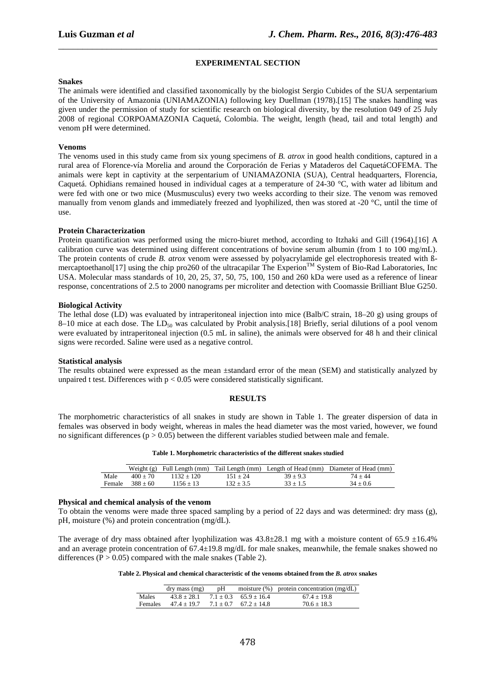## **EXPERIMENTAL SECTION**

\_\_\_\_\_\_\_\_\_\_\_\_\_\_\_\_\_\_\_\_\_\_\_\_\_\_\_\_\_\_\_\_\_\_\_\_\_\_\_\_\_\_\_\_\_\_\_\_\_\_\_\_\_\_\_\_\_\_\_\_\_\_\_\_\_\_\_\_\_\_\_\_\_\_\_\_\_\_

#### **Snakes**

The animals were identified and classified taxonomically by the biologist Sergio Cubides of the SUA serpentarium of the University of Amazonia (UNIAMAZONIA) following key Duellman (1978).[15] The snakes handling was given under the permission of study for scientific research on biological diversity, by the resolution 049 of 25 July 2008 of regional CORPOAMAZONIA Caquetá, Colombia. The weight, length (head, tail and total length) and venom pH were determined.

## **Venoms**

The venoms used in this study came from six young specimens of *B. atrox* in good health conditions, captured in a rural area of Florence-vía Morelia and around the Corporación de Ferias y Mataderos del CaquetáCOFEMA. The animals were kept in captivity at the serpentarium of UNIAMAZONIA (SUA), Central headquarters, Florencia, Caquetá. Ophidians remained housed in individual cages at a temperature of 24-30 °C, with water ad libitum and were fed with one or two mice (Musmusculus) every two weeks according to their size. The venom was removed manually from venom glands and immediately freezed and lyophilized, then was stored at -20 °C, until the time of use.

## **Protein Characterization**

Protein quantification was performed using the micro-biuret method, according to Itzhaki and Gill (1964).[16] A calibration curve was determined using different concentrations of bovine serum albumin (from 1 to 100 mg/mL). The protein contents of crude *B. atrox* venom were assessed by polyacrylamide gel electrophoresis treated with ßmercaptoethanol[17] using the chip pro260 of the ultracapilar The Experion<sup>TM</sup> System of Bio-Rad Laboratories, Inc USA. Molecular mass standards of 10, 20, 25, 37, 50, 75, 100, 150 and 260 kDa were used as a reference of linear response, concentrations of 2.5 to 2000 nanograms per microliter and detection with Coomassie Brilliant Blue G250.

## **Biological Activity**

The lethal dose (LD) was evaluated by intraperitoneal injection into mice (Balb/C strain, 18–20 g) using groups of 8–10 mice at each dose. The  $LD_{50}$  was calculated by Probit analysis.[18] Briefly, serial dilutions of a pool venom were evaluated by intraperitoneal injection (0.5 mL in saline), the animals were observed for 48 h and their clinical signs were recorded. Saline were used as a negative control.

#### **Statistical analysis**

The results obtained were expressed as the mean ±standard error of the mean (SEM) and statistically analyzed by unpaired t test. Differences with  $p < 0.05$  were considered statistically significant.

## **RESULTS**

The morphometric characteristics of all snakes in study are shown in Table 1. The greater dispersion of data in females was observed in body weight, whereas in males the head diameter was the most varied, however, we found no significant differences ( $p > 0.05$ ) between the different variables studied between male and female.

**Table 1. Morphometric characteristics of the different snakes studied** 

|        |            |              |             |            | Weight (g) Full Length (mm) Tail Length (mm) Length of Head (mm) Diameter of Head (mm) |
|--------|------------|--------------|-------------|------------|----------------------------------------------------------------------------------------|
| Male   | $400 + 70$ | $1132 + 120$ | $151 + 24$  | $39 + 9.3$ | 74 + 44                                                                                |
| Female | $388 + 60$ | 1156 + 13    | $132 + 3.5$ | $33 + 1.5$ | $34 + 0.6$                                                                             |

## **Physical and chemical analysis of the venom**

To obtain the venoms were made three spaced sampling by a period of 22 days and was determined: dry mass (g), pH, moisture (%) and protein concentration (mg/dL).

The average of dry mass obtained after lyophilization was  $43.8\pm28.1$  mg with a moisture content of 65.9  $\pm16.4\%$ and an average protein concentration of 67.4±19.8 mg/dL for male snakes, meanwhile, the female snakes showed no differences ( $P > 0.05$ ) compared with the male snakes (Table 2).

**Table 2. Physical and chemical characteristic of the venoms obtained from the** *B. atrox* **snakes** 

|         | dry mass (mg)                                 |  | $pH$ moisture $(\%)$ protein concentration (mg/dL) |
|---------|-----------------------------------------------|--|----------------------------------------------------|
| Males   | $43.8 \pm 28.1$ $7.1 \pm 0.3$ $65.9 \pm 16.4$ |  | $67.4 + 19.8$                                      |
| Females | $47.4 + 19.7$ $7.1 + 0.7$ $67.2 + 14.8$       |  | $70.6 \pm 18.3$                                    |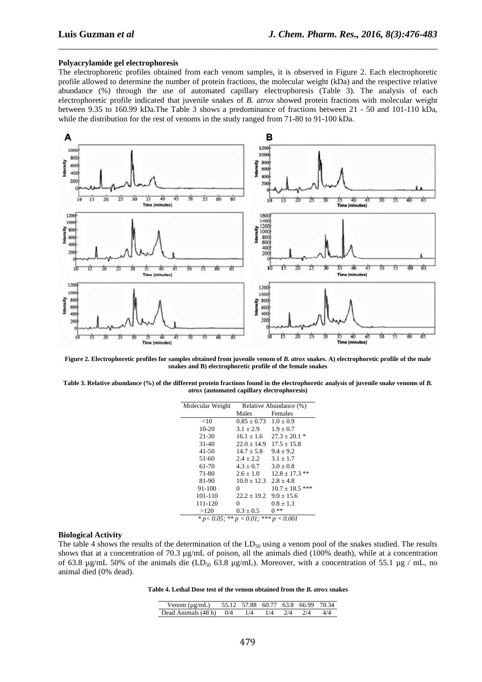#### **Polyacrylamide gel electrophoresis**

The electrophoretic profiles obtained from each venom samples, it is observed in Figure 2. Each electrophoretic profile allowed to determine the number of protein fractions, the molecular weight (kDa) and the respective relative abundance (%) through the use of automated capillary electrophoresis (Table 3). The analysis of each electrophoretic profile indicated that juvenile snakes of *B. atrox* showed protein fractions with molecular weight between 9.35 to 160.99 kDa.The Table 3 shows a predominance of fractions between 21 - 50 and 101-110 kDa, while the distribution for the rest of venoms in the study ranged from 71-80 to 91-100 kDa.

\_\_\_\_\_\_\_\_\_\_\_\_\_\_\_\_\_\_\_\_\_\_\_\_\_\_\_\_\_\_\_\_\_\_\_\_\_\_\_\_\_\_\_\_\_\_\_\_\_\_\_\_\_\_\_\_\_\_\_\_\_\_\_\_\_\_\_\_\_\_\_\_\_\_\_\_\_\_



Figure 2. Electrophoretic profiles for samples obtained from juvenile venom of *B. atrox* snakes. A) electrophoretic profile of the male **snakes and B) electrophoretic profile of the female snakes** 

Table 3. Relative abundance (%) of the different protein fractions found in the electrophoretic analysis of juvenile snake venoms of *B*. *atrox* **(automated capillary electrophoresis)** 

| Molecular Weight                               | Relative Abundance (%) |                     |  |
|------------------------------------------------|------------------------|---------------------|--|
|                                                | Males                  | Females             |  |
| <10                                            | $0.85 \pm 0.73$        | $1.0 \pm 0.9$       |  |
| $10 - 20$                                      | $3.1 \pm 2.9$          | $1.9 \pm 0.7$       |  |
| 21-30                                          | $16.1 \pm 1.6$         | $27.3 + 20.1*$      |  |
| $31-40$                                        | $22.0 \pm 14.9$        | $17.5 \pm 15.8$     |  |
| $41 - 50$                                      | $14.7 + 5.8$           | $9.4 \pm 9.2$       |  |
| 51-60                                          | $2.4 \pm 2.2$          | $3.1 \pm 1.7$       |  |
| 61-70                                          | $4.3 + 0.7$            | $3.0 + 0.8$         |  |
| 71-80                                          | $2.6 \pm 1.0$          | $12.8 \pm 17.3$ **  |  |
| 81-90                                          | $10.0 + 12.3$          | $2.8 + 4.8$         |  |
| 91-100                                         | 0                      | $10.7 \pm 18.5$ *** |  |
| 101-110                                        | $22.2 \pm 19.2$        | $9.0 \pm 15.6$      |  |
| 111-120                                        | 0                      | $0.8 \pm 1.3$       |  |
| >120                                           | $0.3 \pm 0.5$          | $0**$               |  |
| * $p < 0.05$ ; ** $p < 0.01$ ; *** $p < 0.001$ |                        |                     |  |

#### **Biological Activity**

The table 4 shows the results of the determination of the  $LD_{50}$  using a venom pool of the snakes studied. The results shows that at a concentration of 70.3 µg/mL of poison, all the animals died (100% death), while at a concentration of 63.8  $\mu$ g/mL 50% of the animals die (LD<sub>50</sub> 63.8  $\mu$ g/mL). Moreover, with a concentration of 55.1  $\mu$ g / mL, no animal died (0% dead).

**Table 4. Lethal Dose test of the venom obtained from the** *B. atrox* **snakes** 

| Venom $(\mu g/mL)$        | 55.12 57.88 60.77 63.8 66.99 70.34 |     |                   |  |
|---------------------------|------------------------------------|-----|-------------------|--|
| Dead Animals $(48 h)$ 0/4 | 1/4                                | 1/4 | $2/4$ $2/4$ $4/4$ |  |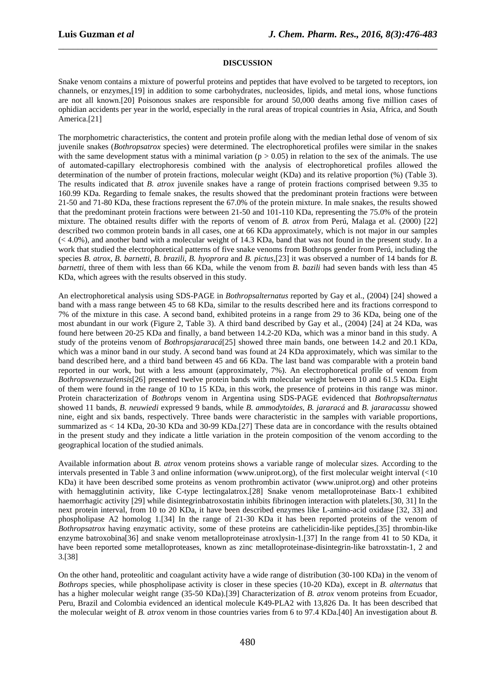### **DISCUSSION**

\_\_\_\_\_\_\_\_\_\_\_\_\_\_\_\_\_\_\_\_\_\_\_\_\_\_\_\_\_\_\_\_\_\_\_\_\_\_\_\_\_\_\_\_\_\_\_\_\_\_\_\_\_\_\_\_\_\_\_\_\_\_\_\_\_\_\_\_\_\_\_\_\_\_\_\_\_\_

Snake venom contains a mixture of powerful proteins and peptides that have evolved to be targeted to receptors, ion channels, or enzymes,[19] in addition to some carbohydrates, nucleosides, lipids, and metal ions, whose functions are not all known.[20] Poisonous snakes are responsible for around 50,000 deaths among five million cases of ophidian accidents per year in the world, especially in the rural areas of tropical countries in Asia, Africa, and South America.[21]

The morphometric characteristics, the content and protein profile along with the median lethal dose of venom of six juvenile snakes (*Bothropsatrox* species) were determined. The electrophoretical profiles were similar in the snakes with the same development status with a minimal variation ( $p > 0.05$ ) in relation to the sex of the animals. The use of automated-capillary electrophoresis combined with the analysis of electrophoretical profiles allowed the determination of the number of protein fractions, molecular weight (KDa) and its relative proportion (%) (Table 3). The results indicated that *B. atrox* juvenile snakes have a range of protein fractions comprised between 9.35 to 160.99 KDa. Regarding to female snakes, the results showed that the predominant protein fractions were between 21-50 and 71-80 KDa, these fractions represent the 67.0% of the protein mixture. In male snakes, the results showed that the predominant protein fractions were between 21-50 and 101-110 KDa, representing the 75.0% of the protein mixture. The obtained results differ with the reports of venom of *B. atrox* from Perú, Malaga et al. (2000) [22] described two common protein bands in all cases, one at 66 KDa approximately, which is not major in our samples  $( $4.0\%$ ),$  and another band with a molecular weight of 14.3 KDa, band that was not found in the present study. In a work that studied the electrophoretical patterns of five snake venoms from Bothrops gender from Perú, including the species *B. atrox*, *B. barnetti*, *B. brazili*, *B. hyoprora* and *B. pictus*,[23] it was observed a number of 14 bands for *B. barnetti*, three of them with less than 66 KDa, while the venom from *B. bazili* had seven bands with less than 45 KDa, which agrees with the results observed in this study.

An electrophoretical analysis using SDS-PAGE in *Bothropsalternatus* reported by Gay et al., (2004) [24] showed a band with a mass range between 45 to 68 KDa, similar to the results described here and its fractions correspond to 7% of the mixture in this case. A second band, exhibited proteins in a range from 29 to 36 KDa, being one of the most abundant in our work (Figure 2, Table 3). A third band described by Gay et al., (2004) [24] at 24 KDa, was found here between 20-25 KDa and finally, a band between 14.2-20 KDa, which was a minor band in this study. A study of the proteins venom of *Bothropsjararacá*[25] showed three main bands, one between 14.2 and 20.1 KDa, which was a minor band in our study. A second band was found at 24 KDa approximately, which was similar to the band described here, and a third band between 45 and 66 KDa. The last band was comparable with a protein band reported in our work, but with a less amount (approximately, 7%). An electrophoretical profile of venom from *Bothropsvenezuelensis*[26] presented twelve protein bands with molecular weight between 10 and 61.5 KDa. Eight of them were found in the range of 10 to 15 KDa, in this work, the presence of proteins in this range was minor. Protein characterization of *Bothrops* venom in Argentina using SDS-PAGE evidenced that *Bothropsalternatus* showed 11 bands, *B. neuwiedi* expressed 9 bands, while *B. ammodytoides*, *B. jararacá* and *B. jararacassu* showed nine, eight and six bands, respectively. Three bands were characteristic in the samples with variable proportions, summarized as < 14 KDa, 20-30 KDa and 30-99 KDa.[27] These data are in concordance with the results obtained in the present study and they indicate a little variation in the protein composition of the venom according to the geographical location of the studied animals.

Available information about *B. atrox* venom proteins shows a variable range of molecular sizes. According to the intervals presented in Table 3 and online information (www.uniprot.org), of the first molecular weight interval (<10 KDa) it have been described some proteins as venom prothrombin activator (www.uniprot.org) and other proteins with hemagglutinin activity, like C-type lectingalatrox.[28] Snake venom metalloproteinase Batx-1 exhibited haemorrhagic activity [29] while disintegrinbatroxostatin inhibits fibrinogen interaction with platelets.[30, 31] In the next protein interval, from 10 to 20 KDa, it have been described enzymes like L-amino-acid oxidase [32, 33] and phospholipase A2 homolog 1.[34] In the range of 21-30 KDa it has been reported proteins of the venom of *Bothropsatrox* having enzymatic activity, some of these proteins are cathelicidin-like peptides,[35] thrombin-like enzyme batroxobina[36] and snake venom metalloproteinase atroxlysin-1.[37] In the range from 41 to 50 KDa, it have been reported some metalloproteases, known as zinc metalloproteinase-disintegrin-like batroxstatin-1, 2 and 3.[38]

On the other hand, proteolitic and coagulant activity have a wide range of distribution (30-100 KDa) in the venom of *Bothrops* species, while phospholipase activity is closer in these species (10-20 KDa), except in *B. alternatus* that has a higher molecular weight range (35-50 KDa).[39] Characterization of *B. atrox* venom proteins from Ecuador, Peru, Brazil and Colombia evidenced an identical molecule K49-PLA2 with 13,826 Da. It has been described that the molecular weight of *B. atrox* venom in those countries varies from 6 to 97.4 KDa.[40] An investigation about *B.*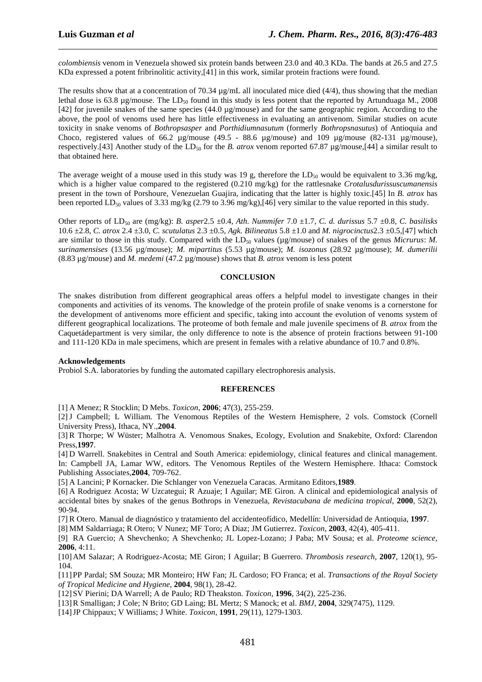*colombiensis* venom in Venezuela showed six protein bands between 23.0 and 40.3 KDa. The bands at 26.5 and 27.5 KDa expressed a potent fribrinolitic activity,[41] in this work, similar protein fractions were found.

\_\_\_\_\_\_\_\_\_\_\_\_\_\_\_\_\_\_\_\_\_\_\_\_\_\_\_\_\_\_\_\_\_\_\_\_\_\_\_\_\_\_\_\_\_\_\_\_\_\_\_\_\_\_\_\_\_\_\_\_\_\_\_\_\_\_\_\_\_\_\_\_\_\_\_\_\_\_

The results show that at a concentration of 70.34  $\mu$ g/mL all inoculated mice died (4/4), thus showing that the median lethal dose is 63.8 µg/mouse. The  $LD_{50}$  found in this study is less potent that the reported by Artunduaga M., 2008 [42] for juvenile snakes of the same species (44.0 µg/mouse) and for the same geographic region. According to the above, the pool of venoms used here has little effectiveness in evaluating an antivenom. Similar studies on acute toxicity in snake venoms of *Bothropsasper* and *Porthidiumnasutum* (formerly *Bothropsnasutus*) of Antioquia and Choco, registered values of 66.2 µg/mouse (49.5 - 88.6 µg/mouse) and 109 µg/mouse (82-131 µg/mouse), respectively.[43] Another study of the LD<sub>50</sub> for the *B. atrox* venom reported 67.87  $\mu$ g/mouse,[44] a similar result to that obtained here.

The average weight of a mouse used in this study was 19 g, therefore the  $LD_{50}$  would be equivalent to 3.36 mg/kg, which is a higher value compared to the registered (0.210 mg/kg) for the rattlesnake *Crotalusdurissuscumanensis* present in the town of Porshoure, Venezuelan Guajira, indicating that the latter is highly toxic.[45] In *B. atrox* has been reported LD<sub>50</sub> values of 3.33 mg/kg (2.79 to 3.96 mg/kg),[46] very similar to the value reported in this study.

Other reports of  $LD_{50}$  are (mg/kg): *B. asper*2.5  $\pm$ 0.4, *Ath. Nummifer* 7.0  $\pm$ 1.7, *C. d. durissus* 5.7  $\pm$ 0.8, *C. basilisks* 10.6 ±2.8, *C. atrox* 2.4 ±3.0, *C. scutulatus* 2.3 ±0.5, *Agk. Bilineatus* 5.8 ±1.0 and *M. nigrocinctus*2.3 ±0.5,[47] which are similar to those in this study. Compared with the LD<sub>50</sub> values (µg/mouse) of snakes of the genus *Micrurus*: *M*. *surinamensises* (13.56 µg/mouse); *M. mipartitus* (5.53 µg/mouse); *M. isozonus* (28.92 µg/mouse); *M. dumerilii* (8.83 µg/mouse) and *M. medemi* (47.2 µg/mouse) shows that *B. atrox* venom is less potent

## **CONCLUSION**

The snakes distribution from different geographical areas offers a helpful model to investigate changes in their components and activities of its venoms. The knowledge of the protein profile of snake venoms is a cornerstone for the development of antivenoms more efficient and specific, taking into account the evolution of venoms system of different geographical localizations. The proteome of both female and male juvenile specimens of *B. atrox* from the Caquetádepartment is very similar, the only difference to note is the absence of protein fractions between 91-100 and 111-120 KDa in male specimens, which are present in females with a relative abundance of 10.7 and 0.8%.

## **Acknowledgements**

Probiol S.A. laboratories by funding the automated capillary electrophoresis analysis.

## **REFERENCES**

[1] A Menez; R Stocklin; D Mebs. *Toxicon*, **2006**; 47(3), 255-259.

[2]J Campbell; L William. The Venomous Reptiles of the Western Hemisphere, 2 vols. Comstock (Cornell University Press), Ithaca, NY.,**2004**.

[3] R Thorpe; W Wüster; Malhotra A. Venomous Snakes, Ecology, Evolution and Snakebite, Oxford: Clarendon Press,**1997**.

[4] D Warrell. Snakebites in Central and South America: epidemiology, clinical features and clinical management. In: Campbell JA, Lamar WW, editors. The Venomous Reptiles of the Western Hemisphere. Ithaca: Comstock Publishing Associates,**2004**, 709-762.

[5] A Lancini; P Kornacker. Die Schlanger von Venezuela Caracas. Armitano Editors,**1989**.

[6] A Rodriguez Acosta; W Uzcategui; R Azuaje; I Aguilar; ME Giron. A clinical and epidemiological analysis of accidental bites by snakes of the genus Bothrops in Venezuela, *Revistacubana de medicina tropical*, **2000**, 52(2), 90-94.

[7] R Otero. Manual de diagnóstico y tratamiento del accidenteofídico, Medellín: Universidad de Antioquia, **1997**.

[8] MM Saldarriaga; R Otero; V Nunez; MF Toro; A Diaz; JM Gutierrez. *Toxicon*, **2003**, 42(4), 405-411.

[9] RA Guercio; A Shevchenko; A Shevchenko; JL Lopez-Lozano; J Paba; MV Sousa; et al. *Proteome science*, **2006**, 4:11.

[10]AM Salazar; A Rodriguez-Acosta; ME Giron; I Aguilar; B Guerrero. *Thrombosis research*, **2007**, 120(1), 95- 104.

[11]PP Pardal; SM Souza; MR Monteiro; HW Fan; JL Cardoso; FO Franca; et al. *Transactions of the Royal Society of Tropical Medicine and Hygiene*, **2004**, 98(1), 28-42.

[12]SV Pierini; DA Warrell; A de Paulo; RD Theakston. *Toxicon*, **1996**, 34(2), 225-236.

[13]R Smalligan; J Cole; N Brito; GD Laing; BL Mertz; S Manock; et al. *BMJ*, **2004**, 329(7475), 1129.

[14]JP Chippaux; V Williams; J White. *Toxicon*, **1991**, 29(11), 1279-1303.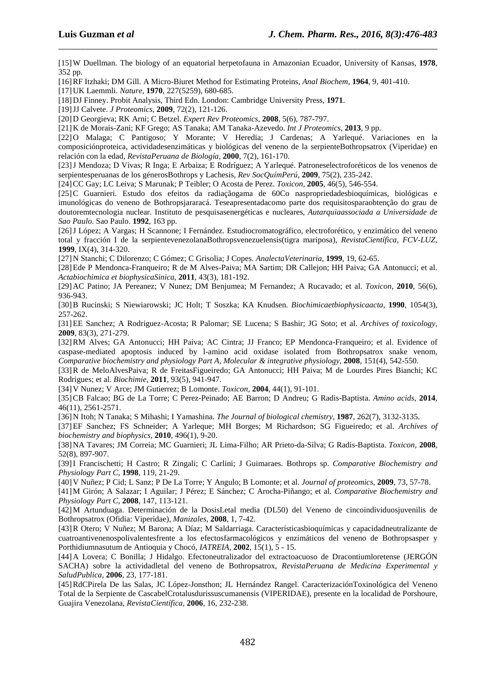[15]W Duellman. The biology of an equatorial herpetofauna in Amazonian Ecuador, University of Kansas, **1978**, 352 pp.

\_\_\_\_\_\_\_\_\_\_\_\_\_\_\_\_\_\_\_\_\_\_\_\_\_\_\_\_\_\_\_\_\_\_\_\_\_\_\_\_\_\_\_\_\_\_\_\_\_\_\_\_\_\_\_\_\_\_\_\_\_\_\_\_\_\_\_\_\_\_\_\_\_\_\_\_\_\_

[16]RF Itzhaki; DM Gill. A Micro-Biuret Method for Estimating Proteins, *Anal Biochem*, **1964**, 9, 401-410.

[17]UK Laemmli. *Nature*, **1970**, 227(5259), 680-685.

[18]DJ Finney. Probit Analysis, Third Edn. London: Cambridge University Press, **1971**.

[19]JJ Calvete. *J Proteomics*, **2009**, 72(2), 121-126.

[20]D Georgieva; RK Arni; C Betzel. *Expert Rev Proteomics*, **2008**, 5(6), 787-797.

[21]K de Morais-Zani; KF Grego; AS Tanaka; AM Tanaka-Azevedo. *Int J Proteomics*, **2013**, 9 pp.

[22]O Malaga; C Pantigoso; Y Morante; V Heredia; J Cardenas; A Yarlequé. Variaciones en la composiciónproteica, actividadesenzimáticas y biológicas del veneno de la serpienteBothropsatrox (Viperidae) en relación con la edad, *RevistaPeruana de Biología*, **2000**, 7(2), 161-170.

[23]J Mendoza; D Vivas; R Inga; E Arbaiza; E Rodríguez; A Yarlequé. Patroneselectroforéticos de los venenos de serpientesperuanas de los génerosBothrops y Lachesis, *Rev SocQuímPerú*, **2009**, 75(2), 235-242.

[24]CC Gay; LC Leiva; S Marunak; P Teibler; O Acosta de Perez. *Toxicon*, **2005**, 46(5), 546-554.

[25]C Guarnieri. Estudo dos efeitos da radiaçãogama de 60Co naspropriedadesbioquímicas, biológicas e imunológicas do veneno de Bothropsjararacá. Teseapresentadacomo parte dos requisitosparaobtenção do grau de doutoremtecnologia nuclear. Instituto de pesquisasenergéticas e nucleares, *Autarquiaassociada a Universidade de Sao Paulo*. Sao Paulo. **1992**, 163 pp.

[26]J López; A Vargas; H Scannone; I Fernández. Estudiocromatográfico, electroforético, y enzimático del veneno total y fracción I de la serpientevenezolanaBothropsvenezuelensis(tigra mariposa), *RevistaCientífica, FCV-LUZ*, **1999**, IX(4), 314-320.

[27]N Stanchi; C Dilorenzo; C Gómez; C Grisolia; J Copes. *AnalectaVeterinaria*, **1999**, 19, 62-65.

[28]Ede P Mendonca-Franqueiro; R de M Alves-Paiva; MA Sartim; DR Callejon; HH Paiva; GA Antonucci; et al. *Actabiochimica et biophysicaSinica*, **2011**, 43(3), 181-192.

[29]AC Patino; JA Pereanez; V Nunez; DM Benjumea; M Fernandez; A Rucavado; et al. *Toxicon*, **2010**, 56(6), 936-943.

[30]B Rucinski; S Niewiarowski; JC Holt; T Soszka; KA Knudsen. *Biochimicaetbiophysicaacta*, **1990**, 1054(3), 257-262.

[31]EE Sanchez; A Rodriguez-Acosta; R Palomar; SE Lucena; S Bashir; JG Soto; et al. *Archives of toxicology*, **2009**, 83(3), 271-279.

[32]RM Alves; GA Antonucci; HH Paiva; AC Cintra; JJ Franco; EP Mendonca-Franqueiro; et al. Evidence of caspase-mediated apoptosis induced by l-amino acid oxidase isolated from Bothropsatrox snake venom, *Comparative biochemistry and physiology Part A, Molecular & integrative physiology*, **2008**, 151(4), 542-550.

[33]R de MeloAlvesPaiva; R de FreitasFigueiredo; GA Antonucci; HH Paiva; M de Lourdes Pires Bianchi; KC Rodrigues; et al. *Biochimie*, **2011**, 93(5), 941-947.

[34]V Nunez; V Arce; JM Gutierrez; B Lomonte. *Toxicon*, **2004**, 44(1), 91-101.

[35]CB Falcao; BG de La Torre; C Perez-Peinado; AE Barron; D Andreu; G Radis-Baptista. *Amino acids*, **2014**, 46(11), 2561-2571.

[36]N Itoh; N Tanaka; S Mihashi; I Yamashina. *The Journal of biological chemistry*, **1987**, 262(7), 3132-3135.

[37]EF Sanchez; FS Schneider; A Yarleque; MH Borges; M Richardson; SG Figueiredo; et al. *Archives of biochemistry and biophysics*, **2010**, 496(1), 9-20.

[38]NA Tavares; JM Correia; MC Guarnieri; JL Lima-Filho; AR Prieto-da-Silva; G Radis-Baptista. *Toxicon*, **2008**, 52(8), 897-907.

[39]I Francischetti; H Castro; R Zingali; C Carlini; J Guimaraes. Bothrops sp. *Comparative Biochemistry and Physiology Part C*, **1998**, 119, 21-29.

[40]V Nuñez; P Cid; L Sanz; P De La Torre; Y Angulo; B Lomonte; et al. *Journal of proteomics*, **2009**, 73, 57-78.

[41]M Girón; A Salazar; I Aguilar; J Pérez; E Sánchez; C Arocha-Piñango; et al. *Comparative Biochemistry and Physiology Part C*, **2008**, 147, 113-121.

[42]M Artunduaga. Determinación de la DosisLetal media (DL50) del Veneno de cincoindividuosjuvenilis de Bothropsatrox (Ofidia: Viperidae), *Manizales*, **2008**, 1, 7-42.

[43]R Otero; V Nuñez; M Barona; A Díaz; M Saldarriaga. Característicasbioquímicas y capacidadneutralizante de cuatroantivenenospolivalentesfrente a los efectosfarmacológicos y enzimáticos del veneno de Bothropsasper y Porthidiumnasutum de Antioquia y Chocó, *IATREIA*, **2002**, 15(1), 5 - 15.

[44]A Lovera; C Bonilla; J Hidalgo. Efectoneutralizador del extractoacuoso de Dracontiumloretense (JERGÓN SACHA) sobre la actividadletal del veneno de Bothropsatrox, *RevistaPeruana de Medicina Experimental y SaludPublica*, **2006**, 23, 177-181.

[45]RdCPirela De las Salas, JC López-Jonsthon; JL Hernández Rangel. CaracterizaciónToxinológica del Veneno Total de la Serpiente de CascabelCrotalusdurissuscumanensis (VIPERIDAE), presente en la localidad de Porshoure, Guajira Venezolana, *RevistaCientífica*, **2006**, 16, 232-238.